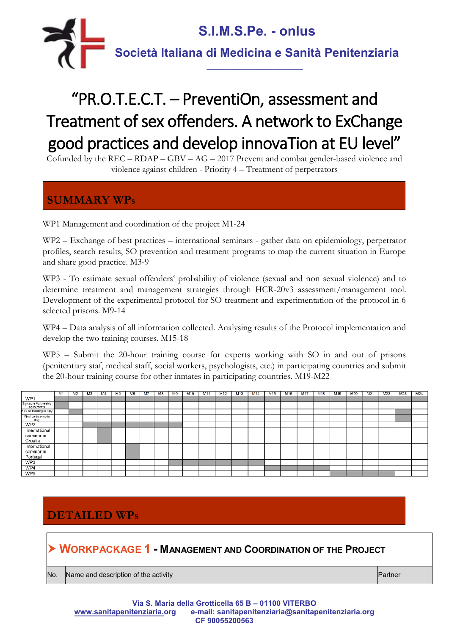

# "PR.O.T.E.C.T. – PreventiOn, assessment and Treatment of sex offenders. A network to ExChange good practices and develop innovaTion at EU level"

Cofunded by the REC – RDAP – GBV – AG – 2017 Prevent and combat gender-based violence and violence against children - Priority 4 – Treatment of perpetrators

### **SUMMARY WP<sup>S</sup>**

WP1 Management and coordination of the project M1-24

WP2 – Exchange of best practices – international seminars - gather data on epidemiology, perpetrator profiles, search results, SO prevention and treatment programs to map the current situation in Europe and share good practice. M3-9

WP3 - To estimate sexual offenders' probability of violence (sexual and non sexual violence) and to determine treatment and management strategies through HCR-20v3 assessment/management tool. Development of the experimental protocol for SO treatment and experimentation of the protocol in 6 selected prisons. M9-14

WP4 – Data analysis of all information collected. Analysing results of the Protocol implementation and develop the two training courses. M15-18

WP5 – Submit the 20-hour training course for experts working with SO in and out of prisons (penitentiary staf, medical staff, social workers, psychologists, etc.) in participating countries and submit the 20-hour training course for other inmates in participating countries. M19-M22

|                                     | M1 | M <sub>2</sub> | M <sub>3</sub> | M4 | M <sub>5</sub> | M <sub>6</sub> | M <sub>7</sub> | M8 | M <sub>9</sub> | M <sub>10</sub> | M <sub>11</sub> | M12 | M <sub>13</sub> | M14 | M <sub>15</sub> | M <sub>16</sub> | M17 | M <sub>18</sub> | M <sub>19</sub> | M20 | M <sub>21</sub> | M <sub>22</sub> | M <sub>23</sub> | M <sub>24</sub> |
|-------------------------------------|----|----------------|----------------|----|----------------|----------------|----------------|----|----------------|-----------------|-----------------|-----|-----------------|-----|-----------------|-----------------|-----|-----------------|-----------------|-----|-----------------|-----------------|-----------------|-----------------|
| WP1                                 |    |                |                |    |                |                |                |    |                |                 |                 |     |                 |     |                 |                 |     |                 |                 |     |                 |                 |                 |                 |
| Signature Partnership<br>Agreements |    |                |                |    |                |                |                |    |                |                 |                 |     |                 |     |                 |                 |     |                 |                 |     |                 |                 |                 |                 |
| Kick off meeting in Italy           |    |                |                |    |                |                |                |    |                |                 |                 |     |                 |     |                 |                 |     |                 |                 |     |                 |                 |                 |                 |
| Final conference in<br>Italy        |    |                |                |    |                |                |                |    |                |                 |                 |     |                 |     |                 |                 |     |                 |                 |     |                 |                 |                 |                 |
| WP2                                 |    |                |                |    |                |                |                |    |                |                 |                 |     |                 |     |                 |                 |     |                 |                 |     |                 |                 |                 |                 |
| International                       |    |                |                |    |                |                |                |    |                |                 |                 |     |                 |     |                 |                 |     |                 |                 |     |                 |                 |                 |                 |
| seminar in                          |    |                |                |    |                |                |                |    |                |                 |                 |     |                 |     |                 |                 |     |                 |                 |     |                 |                 |                 |                 |
| Croatia                             |    |                |                |    |                |                |                |    |                |                 |                 |     |                 |     |                 |                 |     |                 |                 |     |                 |                 |                 |                 |
| International                       |    |                |                |    |                |                |                |    |                |                 |                 |     |                 |     |                 |                 |     |                 |                 |     |                 |                 |                 |                 |
| seminar in                          |    |                |                |    |                |                |                |    |                |                 |                 |     |                 |     |                 |                 |     |                 |                 |     |                 |                 |                 |                 |
| Portugal                            |    |                |                |    |                |                |                |    |                |                 |                 |     |                 |     |                 |                 |     |                 |                 |     |                 |                 |                 |                 |
| WP3                                 |    |                |                |    |                |                |                |    |                |                 |                 |     |                 |     |                 |                 |     |                 |                 |     |                 |                 |                 |                 |
| WP4                                 |    |                |                |    |                |                |                |    |                |                 |                 |     |                 |     |                 |                 |     |                 |                 |     |                 |                 |                 |                 |
| WP <sub>5</sub>                     |    |                |                |    |                |                |                |    |                |                 |                 |     |                 |     |                 |                 |     |                 |                 |     |                 |                 |                 |                 |

## **DETAILED WP<sup>S</sup>**

**WORKPACKAGE 1 - MANAGEMENT AND COORDINATION OF THE PROJECT**

No.  $\blacksquare$  Name and description of the activity  $\blacksquare$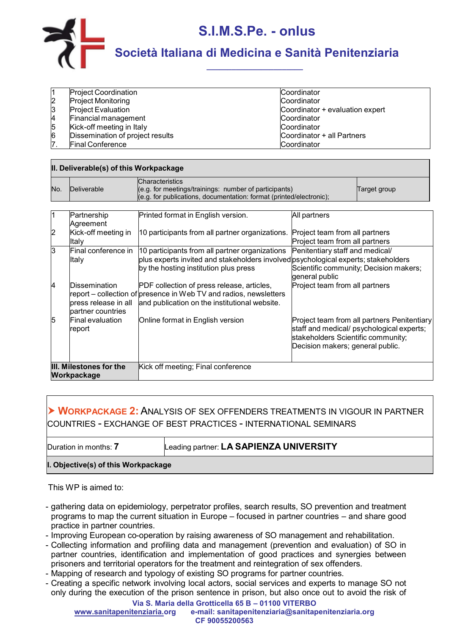

|   | <b>Project Coordination</b>      | Coordinator                     |
|---|----------------------------------|---------------------------------|
|   | <b>Project Monitoring</b>        | Coordinator                     |
|   | <b>Project Evaluation</b>        | Coordinator + evaluation expert |
|   | <b>Financial management</b>      | Coordinator                     |
|   | Kick-off meeting in Italy        | Coordinator                     |
| 6 | Dissemination of project results | Coordinator + all Partners      |
|   | <b>Final Conference</b>          | Coordinator                     |

| II. Deliverable(s) of this Workpackage |                          |                                                                                                                                                        |              |              |  |  |
|----------------------------------------|--------------------------|--------------------------------------------------------------------------------------------------------------------------------------------------------|--------------|--------------|--|--|
| No.                                    | Deliverable              | <b>Characteristics</b><br>(e.g. for meetings/trainings: number of participants)<br>(e.g. for publications, documentation: format (printed/electronic); |              | Target group |  |  |
|                                        |                          |                                                                                                                                                        |              |              |  |  |
|                                        | Partnership<br>Agreement | Printed format in English version.                                                                                                                     | All partners |              |  |  |

| $\overline{2}$                         | Agreement<br>Kick-off meeting in                           | 10 participants from all partner organizations. Project team from all partners                                                                                                |                                                                                                                                                                    |
|----------------------------------------|------------------------------------------------------------|-------------------------------------------------------------------------------------------------------------------------------------------------------------------------------|--------------------------------------------------------------------------------------------------------------------------------------------------------------------|
|                                        | Italy                                                      |                                                                                                                                                                               | Project team from all partners                                                                                                                                     |
| ß.                                     | Final conference in<br>Italy                               | 10 participants from all partner organizations<br>plus experts invited and stakeholders involved psychological experts; stakeholders<br>by the hosting institution plus press | Penitentiary staff and medical/<br>Scientific community; Decision makers;<br>general public                                                                        |
| 4                                      | Dissemination<br>press release in all<br>partner countries | PDF collection of press release, articles,<br>report – collection of presence in Web TV and radios, newsletters<br>and publication on the institutional website.              | Project team from all partners                                                                                                                                     |
| 5                                      | Final evaluation<br>report                                 | Online format in English version                                                                                                                                              | Project team from all partners Penitentiary<br>staff and medical/ psychological experts;<br>stakeholders Scientific community;<br>Decision makers; general public. |
| III. Milestones for the<br>Workpackage |                                                            | Kick off meeting; Final conference                                                                                                                                            |                                                                                                                                                                    |

#### **WORKPACKAGE 2:**ANALYSIS OF SEX OFFENDERS TREATMENTS IN VIGOUR IN PARTNER COUNTRIES - EXCHANGE OF BEST PRACTICES - INTERNATIONAL SEMINARS

Duration in months: **7** Leading partner: **LA SAPIENZA UNIVERSITY**

**I. Objective(s) of this Workpackage**

- gathering data on epidemiology, perpetrator profiles, search results, SO prevention and treatment programs to map the current situation in Europe – focused in partner countries – and share good practice in partner countries.
- Improving European co-operation by raising awareness of SO management and rehabilitation.
- Collecting information and profiling data and management (prevention and evaluation) of SO in partner countries, identification and implementation of good practices and synergies between prisoners and territorial operators for the treatment and reintegration of sex offenders.
- Mapping of research and typology of existing SO programs for partner countries.
- Creating a specific network involving local actors, social services and experts to manage SO not only during the execution of the prison sentence in prison, but also once out to avoid the risk of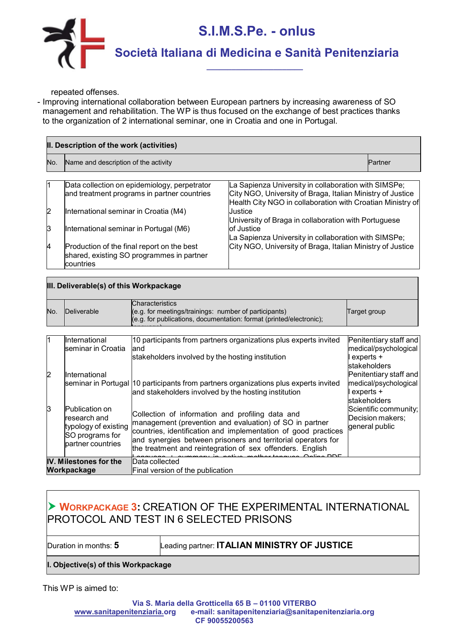

repeated offenses.

- Improving international collaboration between European partners by increasing awareness of SO management and rehabilitation. The WP is thus focused on the exchange of best practices thanks to the organization of 2 international seminar, one in Croatia and one in Portugal.

|     | II. Description of the work (activities)                                                             |                                                                                                                          |         |  |  |  |
|-----|------------------------------------------------------------------------------------------------------|--------------------------------------------------------------------------------------------------------------------------|---------|--|--|--|
| No. | Name and description of the activity                                                                 |                                                                                                                          | Partner |  |  |  |
|     | Data collection on epidemiology, perpetrator                                                         | La Sapienza University in collaboration with SIMSPe;                                                                     |         |  |  |  |
|     | and treatment programs in partner countries                                                          | City NGO, University of Braga, Italian Ministry of Justice<br>Health City NGO in collaboration with Croatian Ministry of |         |  |  |  |
| 2   | International seminar in Croatia (M4)                                                                | Justice<br>University of Braga in collaboration with Portuguese                                                          |         |  |  |  |
| 3   | International seminar in Portugal (M6)                                                               | of Justice<br>La Sapienza University in collaboration with SIMSPe;                                                       |         |  |  |  |
| 4   | Production of the final report on the best<br>shared, existing SO programmes in partner<br>countries | City NGO, University of Braga, Italian Ministry of Justice                                                               |         |  |  |  |

|     | III. Deliverable(s) of this Workpackage                                                               |                                                                                                                                                                                                                                                                                                             |                                                                              |  |  |  |
|-----|-------------------------------------------------------------------------------------------------------|-------------------------------------------------------------------------------------------------------------------------------------------------------------------------------------------------------------------------------------------------------------------------------------------------------------|------------------------------------------------------------------------------|--|--|--|
| No. | Deliverable                                                                                           | <b>Characteristics</b><br>(e.g. for meetings/trainings: number of participants)<br>(e.g. for publications, documentation: format (printed/electronic);                                                                                                                                                      | Target group                                                                 |  |  |  |
| 11  | International<br>seminar in Croatia                                                                   | 10 participants from partners organizations plus experts invited<br>land<br>stakeholders involved by the hosting institution                                                                                                                                                                                | Penitentiary staff and<br>medical/psychological<br>experts +<br>stakeholders |  |  |  |
| 2   | International                                                                                         | seminar in Portugal  10 participants from partners organizations plus experts invited<br>and stakeholders involved by the hosting institution                                                                                                                                                               | Penitentiary staff and<br>medical/psychological<br>experts +<br>stakeholders |  |  |  |
| 13  | <b>Publication on</b><br>research and<br>typology of existing<br>SO programs for<br>partner countries | Collection of information and profiling data and<br>management (prevention and evaluation) of SO in partner<br>countries, identification and implementation of good practices<br>and synergies between prisoners and territorial operators for<br>the treatment and reintegration of sex offenders. English | Scientific community;<br>Decision makers;<br>general public                  |  |  |  |
|     | IV. Milestones for the<br>Workpackage                                                                 | Data collected<br>Final version of the publication                                                                                                                                                                                                                                                          |                                                                              |  |  |  |

### **WORKPACKAGE 3:** CREATION OF THE EXPERIMENTAL INTERNATIONAL PROTOCOL AND TEST IN 6 SELECTED PRISONS

Duration in months: **5** Leading partner: **ITALIAN MINISTRY OF JUSTICE**

**I. Objective(s) of this Workpackage**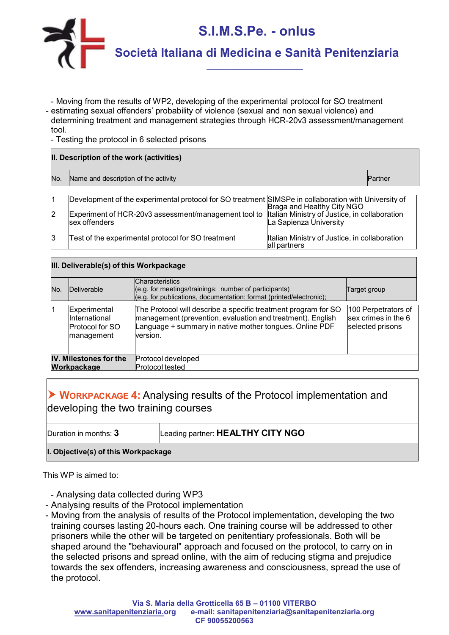

- Moving from the results of WP2, developing of the experimental protocol for SO treatment
- estimating sexual offenders' probability of violence (sexual and non sexual violence) and determining treatment and management strategies through HCR-20v3 assessment/management tool.

- Testing the protocol in 6 selected prisons

# **II. Description of the work (activities)** No.  $\,$  Name and description of the activity  $\,$

|                | Development of the experimental protocol for SO treatment SIMSPe in collaboration with University of |                                               |
|----------------|------------------------------------------------------------------------------------------------------|-----------------------------------------------|
|                |                                                                                                      | Braga and Healthy City NGO                    |
| $\overline{2}$ | Experiment of HCR-20v3 assessment/management tool to Italian Ministry of Justice, in collaboration   |                                               |
|                | sex offenders                                                                                        | La Sapienza University                        |
|                |                                                                                                      |                                               |
| 13             | Test of the experimental protocol for SO treatment                                                   | Italian Ministry of Justice, in collaboration |
|                |                                                                                                      | all partners                                  |

#### **III. Deliverable(s) of this Workpackage**

| No.                    | Deliverable                                                           | <b>Characteristics</b><br>(e.g. for meetings/trainings: number of participants)<br>(e.g. for publications, documentation: format (printed/electronic);                                              | Target group                                                   |
|------------------------|-----------------------------------------------------------------------|-----------------------------------------------------------------------------------------------------------------------------------------------------------------------------------------------------|----------------------------------------------------------------|
|                        | Experimental<br>International<br><b>Protocol for SO</b><br>management | The Protocol will describe a specific treatment program for SO<br>management (prevention, evaluation and treatment). English<br>Language + summary in native mother tongues. Online PDF<br>version. | 100 Perpetrators of<br>sex crimes in the 6<br>selected prisons |
| IV. Milestones for the |                                                                       | Protocol developed                                                                                                                                                                                  |                                                                |
|                        | Workpackage                                                           | Protocol tested                                                                                                                                                                                     |                                                                |

### **WORKPACKAGE 4:** Analysing results of the Protocol implementation and developing the two training courses

Duration in months: **3** Leading partner: **HEALTHY CITY NGO**

#### **I. Objective(s) of this Workpackage**

- Analysing data collected during WP3
- Analysing results of the Protocol implementation
- Moving from the analysis of results of the Protocol implementation, developing the two training courses lasting 20-hours each. One training course will be addressed to other prisoners while the other will be targeted on penitentiary professionals. Both will be shaped around the "behavioural" approach and focused on the protocol, to carry on in the selected prisons and spread online, with the aim of reducing stigma and prejudice towards the sex offenders, increasing awareness and consciousness, spread the use of the protocol.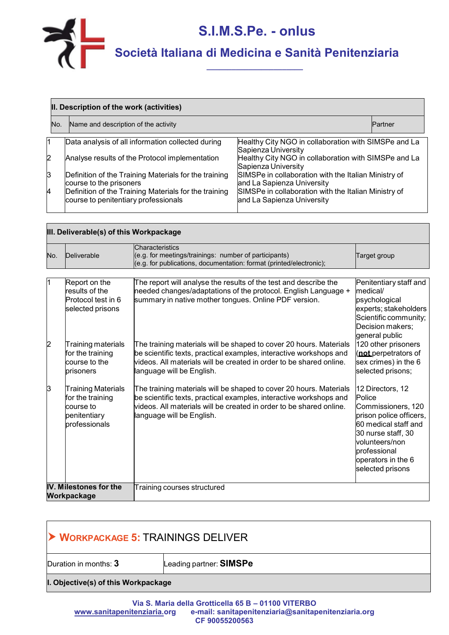

 $\blacksquare$ 

|                | II. Description of the work (activities)                                                      |                                                                                    |                |  |  |  |  |
|----------------|-----------------------------------------------------------------------------------------------|------------------------------------------------------------------------------------|----------------|--|--|--|--|
| No.            | Name and description of the activity                                                          |                                                                                    | <b>Partner</b> |  |  |  |  |
| 11             | Data analysis of all information collected during                                             | Healthy City NGO in collaboration with SIMSPe and La<br>Sapienza University        |                |  |  |  |  |
| $\overline{2}$ | Analyse results of the Protocol implementation                                                | Healthy City NGO in collaboration with SIMSPe and La<br>Sapienza University        |                |  |  |  |  |
| $\mathsf{S}$   | Definition of the Training Materials for the training<br>course to the prisoners              | SIMSPe in collaboration with the Italian Ministry of<br>and La Sapienza University |                |  |  |  |  |
| 4              | Definition of the Training Materials for the training<br>course to penitentiary professionals | SIMSPe in collaboration with the Italian Ministry of<br>and La Sapienza University |                |  |  |  |  |

|     | III. Deliverable(s) of this Workpackage                                                     |                                                                                                                                                                                                                                              |                                                                                                                                                                                                       |  |  |  |  |
|-----|---------------------------------------------------------------------------------------------|----------------------------------------------------------------------------------------------------------------------------------------------------------------------------------------------------------------------------------------------|-------------------------------------------------------------------------------------------------------------------------------------------------------------------------------------------------------|--|--|--|--|
| No. | Deliverable                                                                                 | Characteristics<br>$(e.g. for meetings/trainings: number of participants)$<br>(e.g. for publications, documentation: format (printed/electronic);                                                                                            | Target group                                                                                                                                                                                          |  |  |  |  |
|     | Report on the<br>results of the<br>Protocol test in 6<br>selected prisons                   | The report will analyse the results of the test and describe the<br>needed changes/adaptations of the protocol. English Language +<br>summary in native mother tongues. Online PDF version.                                                  | Penitentiary staff and<br>medical/<br>psychological<br>experts; stakeholders<br>Scientific community;<br>Decision makers;                                                                             |  |  |  |  |
| 2   | Training materials<br>for the training<br>course to the<br>prisoners                        | The training materials will be shaped to cover 20 hours. Materials<br>be scientific texts, practical examples, interactive workshops and<br>videos. All materials will be created in order to be shared online.<br>language will be English. | general public<br>120 other prisoners<br>(not perpetrators of<br>sex crimes) in the 6<br>selected prisons;                                                                                            |  |  |  |  |
| IЗ  | <b>Training Materials</b><br>for the training<br>course to<br>penitentiary<br>professionals | The training materials will be shaped to cover 20 hours. Materials<br>be scientific texts, practical examples, interactive workshops and<br>videos. All materials will be created in order to be shared online.<br>language will be English. | 12 Directors, 12<br>Police<br>Commissioners, 120<br>prison police officers,<br>60 medical staff and<br>30 nurse staff, 30<br>volunteers/non<br>professional<br>operators in the 6<br>selected prisons |  |  |  |  |
|     | IV. Milestones for the<br>Workpackage                                                       | Training courses structured                                                                                                                                                                                                                  |                                                                                                                                                                                                       |  |  |  |  |

| <b>DELIVER</b> WORKPACKAGE 5: TRAININGS DELIVER |                         |  |  |  |  |
|-------------------------------------------------|-------------------------|--|--|--|--|
| Duration in months: 3                           | Leading partner: SIMSPe |  |  |  |  |
| I. Objective(s) of this Workpackage             |                         |  |  |  |  |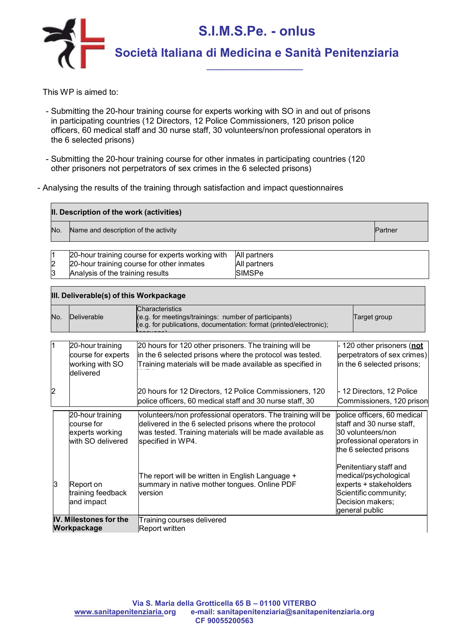

- Submitting the 20-hour training course for experts working with SO in and out of prisons in participating countries (12 Directors, 12 Police Commissioners, 120 prison police officers, 60 medical staff and 30 nurse staff, 30 volunteers/non professional operators in the 6 selected prisons)
- Submitting the 20-hour training course for other inmates in participating countries (120 other prisoners not perpetrators of sex crimes in the 6 selected prisons)
- Analysing the results of the training through satisfaction and impact questionnaires

| II. Description of the work (activities) |                                                                  |                |  |  |  |  |  |
|------------------------------------------|------------------------------------------------------------------|----------------|--|--|--|--|--|
| No.                                      | Name and description of the activity                             | <b>Partner</b> |  |  |  |  |  |
|                                          | 20-hour training course for experts working with<br>All partners |                |  |  |  |  |  |

| 20-hour training course for experts working with All partners |              |
|---------------------------------------------------------------|--------------|
| 20-hour training course for other inmates                     | All partners |
| Analysis of the training results                              | SIMSPe       |

| III. Deliverable(s) of this Workpackage |                                                                        |                                                                                                                                                                                                        |                                                                                                                                          |  |
|-----------------------------------------|------------------------------------------------------------------------|--------------------------------------------------------------------------------------------------------------------------------------------------------------------------------------------------------|------------------------------------------------------------------------------------------------------------------------------------------|--|
| No.                                     | Deliverable                                                            | <b>Characteristics</b><br>(e.g. for meetings/trainings: number of participants)<br>(e.g. for publications, documentation: format (printed/electronic);                                                 | Target group                                                                                                                             |  |
| 11                                      | 20-hour training<br>course for experts<br>working with SO<br>delivered | 20 hours for 120 other prisoners. The training will be<br>in the 6 selected prisons where the protocol was tested.<br>Training materials will be made available as specified in                        | - 120 other prisoners ( <u>not</u><br>perpetrators of sex crimes)<br>in the 6 selected prisons;                                          |  |
| $\overline{c}$                          |                                                                        | 20 hours for 12 Directors, 12 Police Commissioners, 120<br>police officers, 60 medical staff and 30 nurse staff, 30                                                                                    | - 12 Directors, 12 Police<br>Commissioners, 120 prison                                                                                   |  |
|                                         | 20-hour training<br>course for<br>experts working<br>with SO delivered | volunteers/non professional operators. The training will be<br>delivered in the 6 selected prisons where the protocol<br>was tested. Training materials will be made available as<br>specified in WP4. | police officers, 60 medical<br>staff and 30 nurse staff,<br>30 volunteers/non<br>professional operators in<br>the 6 selected prisons     |  |
| ß                                       | Report on<br>training feedback<br>and impact                           | The report will be written in English Language +<br>summary in native mother tongues. Online PDF<br>version                                                                                            | Penitentiary staff and<br>medical/psychological<br>experts + stakeholders<br>Scientific community;<br>Decision makers;<br>general public |  |
| IV. Milestones for the<br>Workpackage   |                                                                        | Training courses delivered<br>Report written                                                                                                                                                           |                                                                                                                                          |  |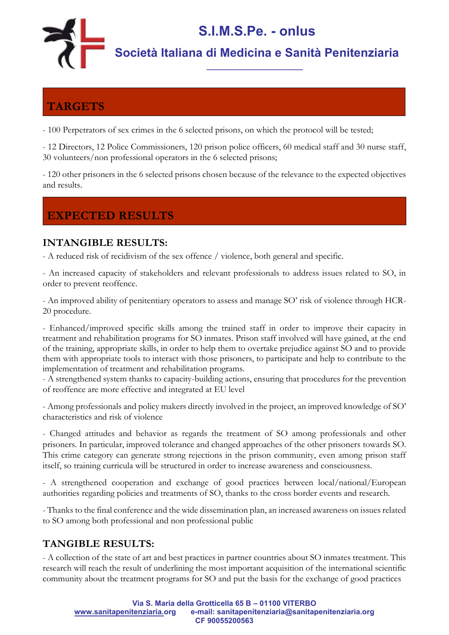

### **TARGETS**

- 100 Perpetrators of sex crimes in the 6 selected prisons, on which the protocol will be tested;

- 12 Directors, 12 Police Commissioners, 120 prison police officers, 60 medical staff and 30 nurse staff, 30 volunteers/non professional operators in the 6 selected prisons;

- 120 other prisoners in the 6 selected prisons chosen because of the relevance to the expected objectives and results.

### **EXPECTED RESULTS**

#### **INTANGIBLE RESULTS:**

- A reduced risk of recidivism of the sex offence / violence, both general and specific.

- An increased capacity of stakeholders and relevant professionals to address issues related to SO, in order to prevent reoffence.

- An improved ability of penitentiary operators to assess and manage SO' risk of violence through HCR-20 procedure.

- Enhanced/improved specific skills among the trained staff in order to improve their capacity in treatment and rehabilitation programs for SO inmates. Prison staff involved will have gained, at the end of the training, appropriate skills, in order to help them to overtake prejudice against SO and to provide them with appropriate tools to interact with those prisoners, to participate and help to contribute to the implementation of treatment and rehabilitation programs.

- A strengthened system thanks to capacity-building actions, ensuring that procedures for the prevention of reoffence are more effective and integrated at EU level

- Among professionals and policy makers directly involved in the project, an improved knowledge of SO' characteristics and risk of violence

- Changed attitudes and behavior as regards the treatment of SO among professionals and other prisoners. In particular, improved tolerance and changed approaches of the other prisoners towards SO. This crime category can generate strong rejections in the prison community, even among prison staff itself, so training curricula will be structured in order to increase awareness and consciousness.

- A strengthened cooperation and exchange of good practices between local/national/European authorities regarding policies and treatments of SO, thanks to the cross border events and research.

- Thanks to the final conference and the wide dissemination plan, an increased awareness on issues related to SO among both professional and non professional public

#### **TANGIBLE RESULTS:**

- A collection of the state of art and best practices in partner countries about SO inmates treatment. This research will reach the result of underlining the most important acquisition of the international scientific community about the treatment programs for SO and put the basis for the exchange of good practices